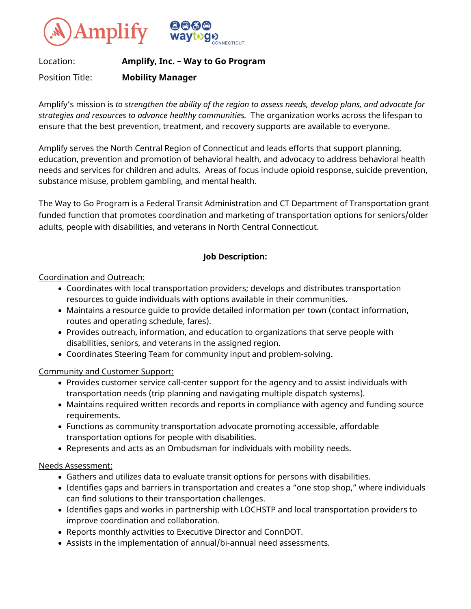



## Location: **Amplify, Inc. – Way to Go Program**

Position Title: **Mobility Manager**

Amplify's mission is *to strengthen the ability of the region to assess needs, develop plans, and advocate for strategies and resources to advance healthy communities.* The organization works across the lifespan to ensure that the best prevention, treatment, and recovery supports are available to everyone.

Amplify serves the North Central Region of Connecticut and leads efforts that support planning, education, prevention and promotion of behavioral health, and advocacy to address behavioral health needs and services for children and adults. Areas of focus include opioid response, suicide prevention, substance misuse, problem gambling, and mental health.

The Way to Go Program is a Federal Transit Administration and CT Department of Transportation grant funded function that promotes coordination and marketing of transportation options for seniors/older adults, people with disabilities, and veterans in North Central Connecticut.

# **Job Description:**

Coordination and Outreach:

- Coordinates with local transportation providers; develops and distributes transportation resources to guide individuals with options available in their communities.
- Maintains a resource guide to provide detailed information per town (contact information, routes and operating schedule, fares).
- Provides outreach, information, and education to organizations that serve people with disabilities, seniors, and veterans in the assigned region.
- Coordinates Steering Team for community input and problem-solving.

### Community and Customer Support:

- Provides customer service call-center support for the agency and to assist individuals with transportation needs (trip planning and navigating multiple dispatch systems).
- Maintains required written records and reports in compliance with agency and funding source requirements.
- Functions as community transportation advocate promoting accessible, affordable transportation options for people with disabilities.
- Represents and acts as an Ombudsman for individuals with mobility needs.

### Needs Assessment:

- Gathers and utilizes data to evaluate transit options for persons with disabilities.
- Identifies gaps and barriers in transportation and creates a "one stop shop," where individuals can find solutions to their transportation challenges.
- Identifies gaps and works in partnership with LOCHSTP and local transportation providers to improve coordination and collaboration.
- Reports monthly activities to Executive Director and ConnDOT.
- Assists in the implementation of annual/bi-annual need assessments.